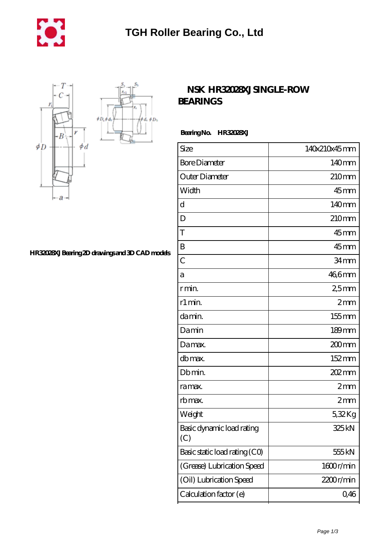

 $\oint D_h$ φà,



## **[HR32028XJ Bearing 2D drawings and 3D CAD models](https://m.mywebsitenews.com/pic-13523.html)**

## **NSK HR32028XJSINGLE-ROW [BEARINGS](https://m.mywebsitenews.com/az-13523-nsk-hr32028xj-single-row-bearings.html)**

 **Bearing No. HR32028XJ**

| Size                             | 140x210x45mm      |
|----------------------------------|-------------------|
| <b>Bore Diameter</b>             | 140 <sub>mm</sub> |
| Outer Diameter                   | 210mm             |
| Width                            | $45$ mm           |
| d                                | 140 <sub>mm</sub> |
| D                                | 210mm             |
| T                                | $45$ mm           |
| B                                | $45$ mm           |
| $\overline{C}$                   | 34mm              |
| а                                | 46,6mm            |
| r min.                           | 25mm              |
| r1 min.                          | 2mm               |
| damin.                           | 155mm             |
| Damin                            | 189mm             |
| Damax.                           | 200mm             |
| db max.                          | 152mm             |
| Db min.                          | 202 mm            |
| ra max.                          | 2mm               |
| rb max.                          | 2mm               |
| Weight                           | 532Kg             |
| Basic dynamic load rating<br>(C) | 325kN             |
| Basic static load rating (CO)    | 555 kN            |
| (Grease) Lubrication Speed       | 1600r/min         |
| (Oil) Lubrication Speed          | 2200r/min         |
| Calculation factor (e)           | 0,46              |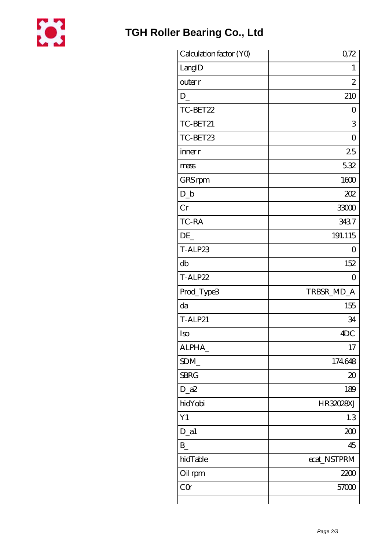

## **[TGH Roller Bearing Co., Ltd](https://m.mywebsitenews.com)**

| Calculation factor (YO) | 0,72           |
|-------------------------|----------------|
| LangID                  | 1              |
| outer r                 | 2              |
| D                       | 210            |
| TC-BET22                | 0              |
| TC-BET21                | 3              |
| TC-BET23                | $\overline{O}$ |
| inner r                 | 25             |
| mass                    | 532            |
| GRS rpm                 | 1600           |
| $D_b$                   | 202            |
| Cr                      | 33000          |
| TC-RA                   | 3437           |
| DE                      | 191.115        |
| T-ALP23                 | O              |
| db                      | 152            |
| T-ALP22                 | $\Omega$       |
| Prod_Type3              | TRBSR_MD_A     |
| da                      | 155            |
| <b>T-ALP21</b>          | 34             |
| Iso                     | 4DC            |
| ALPHA                   | 17             |
| SDM                     | 174648         |
| <b>SBRG</b>             | 20             |
| $D_2a2$                 | 189            |
| hidYobi                 | HR32028XJ      |
| Y1                      | 1.3            |
| $D_$ a1                 | 200            |
| $B_{-}$                 | 45             |
| hidTable                | ecat_NSTPRM    |
| Oil rpm                 | 2200           |
| CQ                      | 57000          |
|                         |                |